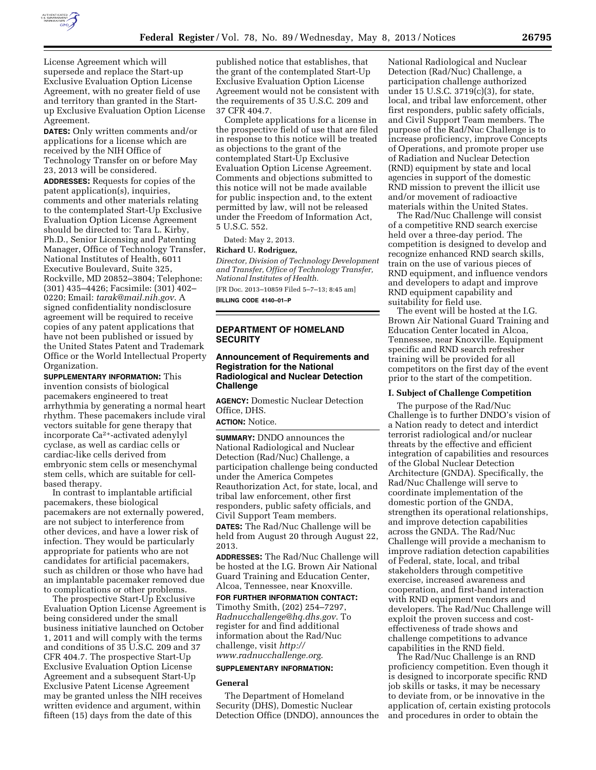

License Agreement which will supersede and replace the Start-up Exclusive Evaluation Option License Agreement, with no greater field of use and territory than granted in the Startup Exclusive Evaluation Option License Agreement.

**DATES:** Only written comments and/or applications for a license which are received by the NIH Office of Technology Transfer on or before May 23, 2013 will be considered.

**ADDRESSES:** Requests for copies of the patent application(s), inquiries, comments and other materials relating to the contemplated Start-Up Exclusive Evaluation Option License Agreement should be directed to: Tara L. Kirby, Ph.D., Senior Licensing and Patenting Manager, Office of Technology Transfer, National Institutes of Health, 6011 Executive Boulevard, Suite 325, Rockville, MD 20852–3804; Telephone: (301) 435–4426; Facsimile: (301) 402– 0220; Email: *[tarak@mail.nih.gov](mailto:tarak@mail.nih.gov)*. A signed confidentiality nondisclosure agreement will be required to receive copies of any patent applications that have not been published or issued by the United States Patent and Trademark Office or the World Intellectual Property Organization.

**SUPPLEMENTARY INFORMATION:** This invention consists of biological pacemakers engineered to treat arrhythmia by generating a normal heart rhythm. These pacemakers include viral vectors suitable for gene therapy that incorporate Ca2+-activated adenylyl cyclase, as well as cardiac cells or cardiac-like cells derived from embryonic stem cells or mesenchymal stem cells, which are suitable for cellbased therapy.

In contrast to implantable artificial pacemakers, these biological pacemakers are not externally powered, are not subject to interference from other devices, and have a lower risk of infection. They would be particularly appropriate for patients who are not candidates for artificial pacemakers, such as children or those who have had an implantable pacemaker removed due to complications or other problems.

The prospective Start-Up Exclusive Evaluation Option License Agreement is being considered under the small business initiative launched on October 1, 2011 and will comply with the terms and conditions of 35 U.S.C. 209 and 37 CFR 404.7. The prospective Start-Up Exclusive Evaluation Option License Agreement and a subsequent Start-Up Exclusive Patent License Agreement may be granted unless the NIH receives written evidence and argument, within fifteen (15) days from the date of this

published notice that establishes, that the grant of the contemplated Start-Up Exclusive Evaluation Option License Agreement would not be consistent with the requirements of 35 U.S.C. 209 and 37 CFR 404.7.

Complete applications for a license in the prospective field of use that are filed in response to this notice will be treated as objections to the grant of the contemplated Start-Up Exclusive Evaluation Option License Agreement. Comments and objections submitted to this notice will not be made available for public inspection and, to the extent permitted by law, will not be released under the Freedom of Information Act, 5 U.S.C. 552.

Dated: May 2, 2013.

#### **Richard U. Rodriguez,**

*Director, Division of Technology Development and Transfer, Office of Technology Transfer, National Institutes of Health.*  [FR Doc. 2013–10859 Filed 5–7–13; 8:45 am] **BILLING CODE 4140–01–P** 

# **DEPARTMENT OF HOMELAND SECURITY**

# **Announcement of Requirements and Registration for the National Radiological and Nuclear Detection Challenge**

**AGENCY:** Domestic Nuclear Detection Office, DHS.

**ACTION:** Notice.

**SUMMARY:** DNDO announces the National Radiological and Nuclear Detection (Rad/Nuc) Challenge, a participation challenge being conducted under the America Competes Reauthorization Act, for state, local, and tribal law enforcement, other first responders, public safety officials, and Civil Support Team members.

**DATES:** The Rad/Nuc Challenge will be held from August 20 through August 22, 2013.

**ADDRESSES:** The Rad/Nuc Challenge will be hosted at the I.G. Brown Air National Guard Training and Education Center, Alcoa, Tennessee, near Knoxville.

**FOR FURTHER INFORMATION CONTACT:** 

Timothy Smith, (202) 254–7297, *[Radnucchallenge@hq.dhs.gov](mailto:Radnucchallenge@hq.dhs.gov)*. To register for and find additional information about the Rad/Nuc challenge, visit *[http://](http://www.radnucchallenge.org) [www.radnucchallenge.org](http://www.radnucchallenge.org)*.

### **SUPPLEMENTARY INFORMATION:**

# **General**

The Department of Homeland Security (DHS), Domestic Nuclear Detection Office (DNDO), announces the

National Radiological and Nuclear Detection (Rad/Nuc) Challenge, a participation challenge authorized under 15 U.S.C. 3719(c)(3), for state, local, and tribal law enforcement, other first responders, public safety officials, and Civil Support Team members. The purpose of the Rad/Nuc Challenge is to increase proficiency, improve Concepts of Operations, and promote proper use of Radiation and Nuclear Detection (RND) equipment by state and local agencies in support of the domestic RND mission to prevent the illicit use and/or movement of radioactive materials within the United States.

The Rad/Nuc Challenge will consist of a competitive RND search exercise held over a three-day period. The competition is designed to develop and recognize enhanced RND search skills, train on the use of various pieces of RND equipment, and influence vendors and developers to adapt and improve RND equipment capability and suitability for field use.

The event will be hosted at the I.G. Brown Air National Guard Training and Education Center located in Alcoa, Tennessee, near Knoxville. Equipment specific and RND search refresher training will be provided for all competitors on the first day of the event prior to the start of the competition.

#### **I. Subject of Challenge Competition**

The purpose of the Rad/Nuc Challenge is to further DNDO's vision of a Nation ready to detect and interdict terrorist radiological and/or nuclear threats by the effective and efficient integration of capabilities and resources of the Global Nuclear Detection Architecture (GNDA). Specifically, the Rad/Nuc Challenge will serve to coordinate implementation of the domestic portion of the GNDA, strengthen its operational relationships, and improve detection capabilities across the GNDA. The Rad/Nuc Challenge will provide a mechanism to improve radiation detection capabilities of Federal, state, local, and tribal stakeholders through competitive exercise, increased awareness and cooperation, and first-hand interaction with RND equipment vendors and developers. The Rad/Nuc Challenge will exploit the proven success and costeffectiveness of trade shows and challenge competitions to advance capabilities in the RND field.

The Rad/Nuc Challenge is an RND proficiency competition. Even though it is designed to incorporate specific RND job skills or tasks, it may be necessary to deviate from, or be innovative in the application of, certain existing protocols and procedures in order to obtain the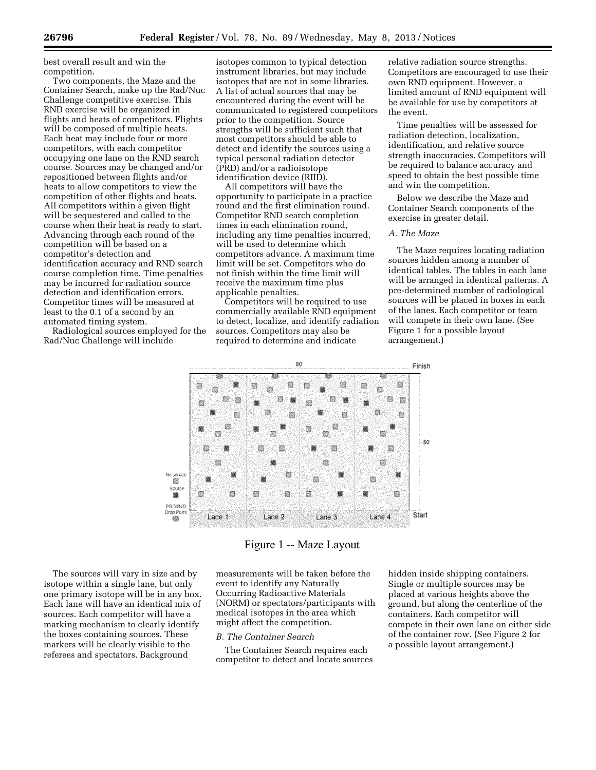best overall result and win the competition.

Two components, the Maze and the Container Search, make up the Rad/Nuc Challenge competitive exercise. This RND exercise will be organized in flights and heats of competitors. Flights will be composed of multiple heats. Each heat may include four or more competitors, with each competitor occupying one lane on the RND search course. Sources may be changed and/or repositioned between flights and/or heats to allow competitors to view the competition of other flights and heats. All competitors within a given flight will be sequestered and called to the course when their heat is ready to start. Advancing through each round of the competition will be based on a competitor's detection and identification accuracy and RND search course completion time. Time penalties may be incurred for radiation source detection and identification errors. Competitor times will be measured at least to the 0.1 of a second by an automated timing system.

Radiological sources employed for the Rad/Nuc Challenge will include

isotopes common to typical detection instrument libraries, but may include isotopes that are not in some libraries. A list of actual sources that may be encountered during the event will be communicated to registered competitors prior to the competition. Source strengths will be sufficient such that most competitors should be able to detect and identify the sources using a typical personal radiation detector (PRD) and/or a radioisotope identification device (RIID).

All competitors will have the opportunity to participate in a practice round and the first elimination round. Competitor RND search completion times in each elimination round, including any time penalties incurred, will be used to determine which competitors advance. A maximum time limit will be set. Competitors who do not finish within the time limit will receive the maximum time plus applicable penalties.

Competitors will be required to use commercially available RND equipment to detect, localize, and identify radiation sources. Competitors may also be required to determine and indicate

relative radiation source strengths. Competitors are encouraged to use their own RND equipment. However, a limited amount of RND equipment will be available for use by competitors at the event.

Time penalties will be assessed for radiation detection, localization, identification, and relative source strength inaccuracies. Competitors will be required to balance accuracy and speed to obtain the best possible time and win the competition.

Below we describe the Maze and Container Search components of the exercise in greater detail.

# *A. The Maze*

The Maze requires locating radiation sources hidden among a number of identical tables. The tables in each lane will be arranged in identical patterns. A pre-determined number of radiological sources will be placed in boxes in each of the lanes. Each competitor or team will compete in their own lane. (See Figure 1 for a possible layout arrangement.)



Figure 1 -- Maze Layout

The sources will vary in size and by isotope within a single lane, but only one primary isotope will be in any box. Each lane will have an identical mix of sources. Each competitor will have a marking mechanism to clearly identify the boxes containing sources. These markers will be clearly visible to the referees and spectators. Background

measurements will be taken before the event to identify any Naturally Occurring Radioactive Materials (NORM) or spectators/participants with medical isotopes in the area which might affect the competition.

### *B. The Container Search*

The Container Search requires each competitor to detect and locate sources hidden inside shipping containers. Single or multiple sources may be placed at various heights above the ground, but along the centerline of the containers. Each competitor will compete in their own lane on either side of the container row. (See Figure 2 for a possible layout arrangement.)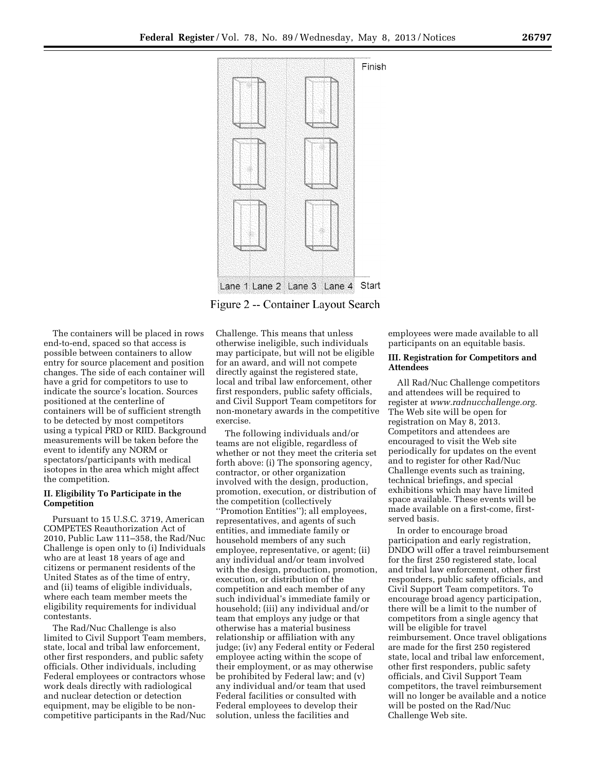

Figure 2 -- Container Layout Search

The containers will be placed in rows end-to-end, spaced so that access is possible between containers to allow entry for source placement and position changes. The side of each container will have a grid for competitors to use to indicate the source's location. Sources positioned at the centerline of containers will be of sufficient strength to be detected by most competitors using a typical PRD or RIID. Background measurements will be taken before the event to identify any NORM or spectators/participants with medical isotopes in the area which might affect the competition.

# **II. Eligibility To Participate in the Competition**

Pursuant to 15 U.S.C. 3719, American COMPETES Reauthorization Act of 2010, Public Law 111–358, the Rad/Nuc Challenge is open only to (i) Individuals who are at least 18 years of age and citizens or permanent residents of the United States as of the time of entry, and (ii) teams of eligible individuals, where each team member meets the eligibility requirements for individual contestants.

The Rad/Nuc Challenge is also limited to Civil Support Team members, state, local and tribal law enforcement, other first responders, and public safety officials. Other individuals, including Federal employees or contractors whose work deals directly with radiological and nuclear detection or detection equipment, may be eligible to be noncompetitive participants in the Rad/Nuc

Challenge. This means that unless otherwise ineligible, such individuals may participate, but will not be eligible for an award, and will not compete directly against the registered state, local and tribal law enforcement, other first responders, public safety officials, and Civil Support Team competitors for non-monetary awards in the competitive exercise.

The following individuals and/or teams are not eligible, regardless of whether or not they meet the criteria set forth above: (i) The sponsoring agency, contractor, or other organization involved with the design, production, promotion, execution, or distribution of the competition (collectively ''Promotion Entities''); all employees, representatives, and agents of such entities, and immediate family or household members of any such employee, representative, or agent; (ii) any individual and/or team involved with the design, production, promotion, execution, or distribution of the competition and each member of any such individual's immediate family or household; (iii) any individual and/or team that employs any judge or that otherwise has a material business relationship or affiliation with any judge; (iv) any Federal entity or Federal employee acting within the scope of their employment, or as may otherwise be prohibited by Federal law; and (v) any individual and/or team that used Federal facilities or consulted with Federal employees to develop their solution, unless the facilities and

employees were made available to all participants on an equitable basis.

# **III. Registration for Competitors and Attendees**

All Rad/Nuc Challenge competitors and attendees will be required to register at *[www.radnucchallenge.org.](http://www.radnucchallenge.org)*  The Web site will be open for registration on May 8, 2013. Competitors and attendees are encouraged to visit the Web site periodically for updates on the event and to register for other Rad/Nuc Challenge events such as training, technical briefings, and special exhibitions which may have limited space available. These events will be made available on a first-come, firstserved basis.

In order to encourage broad participation and early registration, DNDO will offer a travel reimbursement for the first 250 registered state, local and tribal law enforcement, other first responders, public safety officials, and Civil Support Team competitors. To encourage broad agency participation, there will be a limit to the number of competitors from a single agency that will be eligible for travel reimbursement. Once travel obligations are made for the first 250 registered state, local and tribal law enforcement, other first responders, public safety officials, and Civil Support Team competitors, the travel reimbursement will no longer be available and a notice will be posted on the Rad/Nuc Challenge Web site.